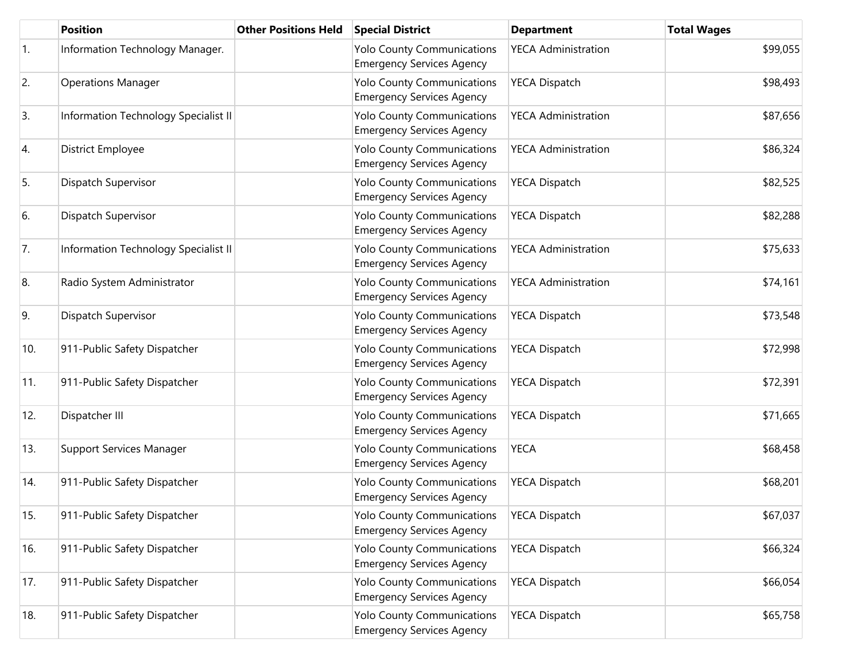|     | <b>Position</b>                      | <b>Other Positions Held</b> | <b>Special District</b>                                               | <b>Department</b>          | <b>Total Wages</b> |
|-----|--------------------------------------|-----------------------------|-----------------------------------------------------------------------|----------------------------|--------------------|
| 1.  | Information Technology Manager.      |                             | <b>Yolo County Communications</b><br><b>Emergency Services Agency</b> | <b>YECA Administration</b> | \$99,055           |
| 2.  | <b>Operations Manager</b>            |                             | <b>Yolo County Communications</b><br><b>Emergency Services Agency</b> | <b>YECA Dispatch</b>       | \$98,493           |
| 3.  | Information Technology Specialist II |                             | <b>Yolo County Communications</b><br><b>Emergency Services Agency</b> | <b>YECA Administration</b> | \$87,656           |
| 4.  | District Employee                    |                             | <b>Yolo County Communications</b><br><b>Emergency Services Agency</b> | <b>YECA Administration</b> | \$86,324           |
| 5.  | Dispatch Supervisor                  |                             | <b>Yolo County Communications</b><br><b>Emergency Services Agency</b> | <b>YECA Dispatch</b>       | \$82,525           |
| 6.  | Dispatch Supervisor                  |                             | <b>Yolo County Communications</b><br><b>Emergency Services Agency</b> | <b>YECA Dispatch</b>       | \$82,288           |
| 7.  | Information Technology Specialist II |                             | <b>Yolo County Communications</b><br><b>Emergency Services Agency</b> | <b>YECA Administration</b> | \$75,633           |
| 8.  | Radio System Administrator           |                             | <b>Yolo County Communications</b><br><b>Emergency Services Agency</b> | <b>YECA Administration</b> | \$74,161           |
| 9.  | Dispatch Supervisor                  |                             | <b>Yolo County Communications</b><br><b>Emergency Services Agency</b> | <b>YECA Dispatch</b>       | \$73,548           |
| 10. | 911-Public Safety Dispatcher         |                             | <b>Yolo County Communications</b><br><b>Emergency Services Agency</b> | <b>YECA Dispatch</b>       | \$72,998           |
| 11. | 911-Public Safety Dispatcher         |                             | <b>Yolo County Communications</b><br><b>Emergency Services Agency</b> | <b>YECA Dispatch</b>       | \$72,391           |
| 12. | Dispatcher III                       |                             | <b>Yolo County Communications</b><br><b>Emergency Services Agency</b> | <b>YECA Dispatch</b>       | \$71,665           |
| 13. | Support Services Manager             |                             | <b>Yolo County Communications</b><br><b>Emergency Services Agency</b> | <b>YECA</b>                | \$68,458           |
| 14. | 911-Public Safety Dispatcher         |                             | <b>Yolo County Communications</b><br><b>Emergency Services Agency</b> | <b>YECA Dispatch</b>       | \$68,201           |
| 15. | 911-Public Safety Dispatcher         |                             | <b>Yolo County Communications</b><br><b>Emergency Services Agency</b> | <b>YECA Dispatch</b>       | \$67,037           |
| 16. | 911-Public Safety Dispatcher         |                             | <b>Yolo County Communications</b><br><b>Emergency Services Agency</b> | <b>YECA Dispatch</b>       | \$66,324           |
| 17. | 911-Public Safety Dispatcher         |                             | <b>Yolo County Communications</b><br><b>Emergency Services Agency</b> | <b>YECA Dispatch</b>       | \$66,054           |
| 18. | 911-Public Safety Dispatcher         |                             | <b>Yolo County Communications</b><br><b>Emergency Services Agency</b> | <b>YECA Dispatch</b>       | \$65,758           |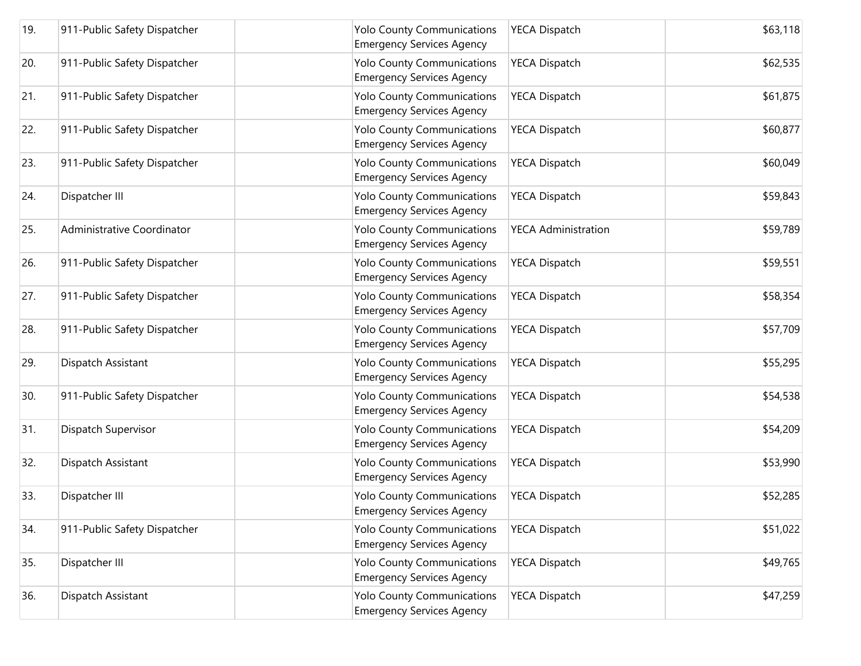| 19. | 911-Public Safety Dispatcher | <b>Yolo County Communications</b><br><b>Emergency Services Agency</b> | <b>YECA Dispatch</b>       | \$63,118 |
|-----|------------------------------|-----------------------------------------------------------------------|----------------------------|----------|
| 20. | 911-Public Safety Dispatcher | <b>Yolo County Communications</b><br><b>Emergency Services Agency</b> | <b>YECA Dispatch</b>       | \$62,535 |
| 21. | 911-Public Safety Dispatcher | <b>Yolo County Communications</b><br><b>Emergency Services Agency</b> | <b>YECA Dispatch</b>       | \$61,875 |
| 22. | 911-Public Safety Dispatcher | <b>Yolo County Communications</b><br><b>Emergency Services Agency</b> | <b>YECA Dispatch</b>       | \$60,877 |
| 23. | 911-Public Safety Dispatcher | <b>Yolo County Communications</b><br><b>Emergency Services Agency</b> | <b>YECA Dispatch</b>       | \$60,049 |
| 24. | Dispatcher III               | <b>Yolo County Communications</b><br><b>Emergency Services Agency</b> | <b>YECA Dispatch</b>       | \$59,843 |
| 25. | Administrative Coordinator   | <b>Yolo County Communications</b><br><b>Emergency Services Agency</b> | <b>YECA Administration</b> | \$59,789 |
| 26. | 911-Public Safety Dispatcher | <b>Yolo County Communications</b><br><b>Emergency Services Agency</b> | <b>YECA Dispatch</b>       | \$59,551 |
| 27. | 911-Public Safety Dispatcher | <b>Yolo County Communications</b><br><b>Emergency Services Agency</b> | <b>YECA Dispatch</b>       | \$58,354 |
| 28. | 911-Public Safety Dispatcher | <b>Yolo County Communications</b><br><b>Emergency Services Agency</b> | <b>YECA Dispatch</b>       | \$57,709 |
| 29. | Dispatch Assistant           | <b>Yolo County Communications</b><br><b>Emergency Services Agency</b> | <b>YECA Dispatch</b>       | \$55,295 |
| 30. | 911-Public Safety Dispatcher | <b>Yolo County Communications</b><br><b>Emergency Services Agency</b> | <b>YECA Dispatch</b>       | \$54,538 |
| 31. | Dispatch Supervisor          | <b>Yolo County Communications</b><br><b>Emergency Services Agency</b> | <b>YECA Dispatch</b>       | \$54,209 |
| 32. | Dispatch Assistant           | <b>Yolo County Communications</b><br><b>Emergency Services Agency</b> | <b>YECA Dispatch</b>       | \$53,990 |
| 33. | Dispatcher III               | <b>Yolo County Communications</b><br>Emergency Services Agency        | <b>YECA Dispatch</b>       | \$52,285 |
| 34. | 911-Public Safety Dispatcher | <b>Yolo County Communications</b><br><b>Emergency Services Agency</b> | <b>YECA Dispatch</b>       | \$51,022 |
| 35. | Dispatcher III               | <b>Yolo County Communications</b><br><b>Emergency Services Agency</b> | <b>YECA Dispatch</b>       | \$49,765 |
| 36. | Dispatch Assistant           | <b>Yolo County Communications</b><br><b>Emergency Services Agency</b> | <b>YECA Dispatch</b>       | \$47,259 |